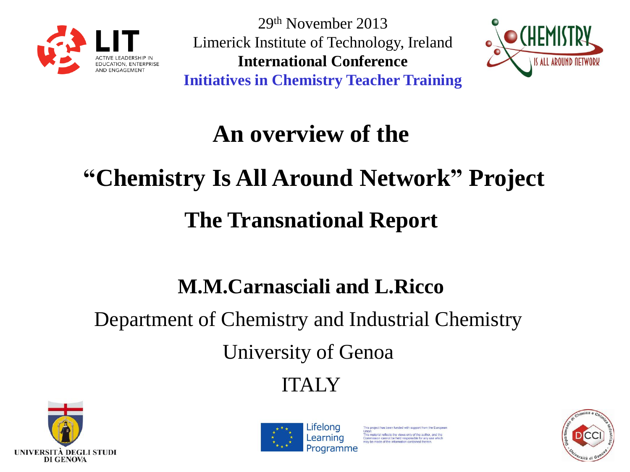

29th November 2013 Limerick Institute of Technology, Ireland **International Conference Initiatives in Chemistry Teacher Training**



## **An overview of the**

# **"Chemistry Is All Around Network" Project The Transnational Report**

## **M.M.Carnasciali and L.Ricco**

## Department of Chemistry and Industrial Chemistry University of Genoa

ITALY





as been funded with support from the Europei his material reflects the views only of the author, and the imission cannot be held responsible for any use which<br>be made of the information contained therein.

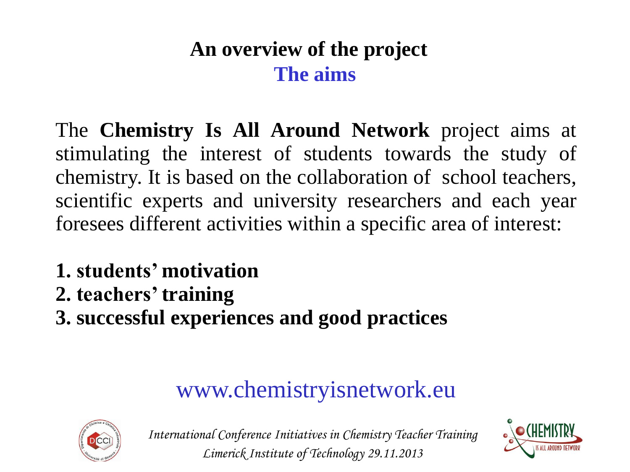#### **An overview of the project The aims**

The **Chemistry Is All Around Network** project aims at stimulating the interest of students towards the study of chemistry. It is based on the collaboration of school teachers, scientific experts and university researchers and each year foresees different activities within a specific area of interest:

- **1. students' motivation**
- **2. teachers' training**
- **3. successful experiences and good practices**

## www.chemistryisnetwork.eu



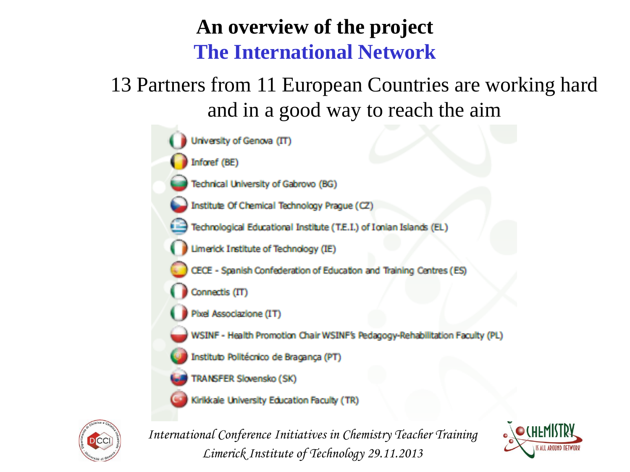#### **An overview of the project The International Network**

13 Partners from 11 European Countries are working hard and in a good way to reach the aim





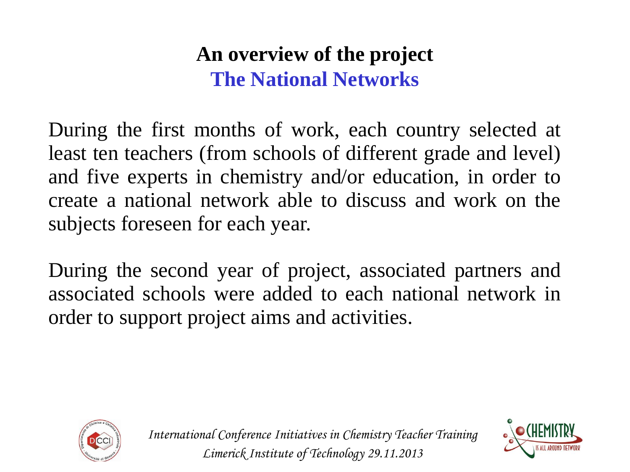#### **An overview of the project The National Networks**

During the first months of work, each country selected at least ten teachers (from schools of different grade and level) and five experts in chemistry and/or education, in order to create a national network able to discuss and work on the subjects foreseen for each year.

During the second year of project, associated partners and associated schools were added to each national network in order to support project aims and activities.



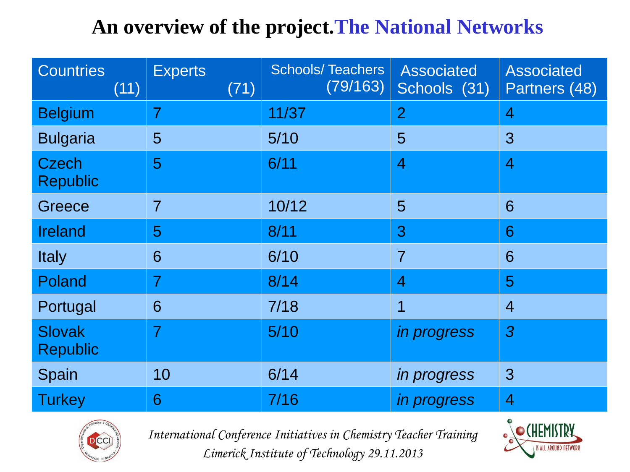#### **An overview of the project.The National Networks**

| <b>Countries</b><br>(11)         | <b>Experts</b><br>(71) | <b>Schools/Teachers</b><br>(79/163) | <b>Associated</b><br>Schools (31) | <b>Associated</b><br>Partners (48) |
|----------------------------------|------------------------|-------------------------------------|-----------------------------------|------------------------------------|
| <b>Belgium</b>                   | $\overline{7}$         | 11/37                               | $\overline{2}$                    | $\overline{4}$                     |
| <b>Bulgaria</b>                  | 5                      | 5/10                                | 5                                 | 3                                  |
| <b>Czech</b><br><b>Republic</b>  | 5                      | 6/11                                | $\overline{4}$                    | $\overline{4}$                     |
| Greece                           | $\overline{7}$         | 10/12                               | 5                                 | 6                                  |
| <b>Ireland</b>                   | 5                      | 8/11                                | 3                                 | 6                                  |
| <b>Italy</b>                     | 6                      | 6/10                                | $\overline{7}$                    | 6                                  |
| Poland                           | $\overline{7}$         | 8/14                                | $\overline{4}$                    | 5                                  |
| Portugal                         | 6                      | 7/18                                | $\overline{\mathbf{1}}$           | $\overline{4}$                     |
| <b>Slovak</b><br><b>Republic</b> | $\overline{7}$         | $5/10$                              | <i>in progress</i>                | $\overline{3}$                     |
| Spain                            | 10                     | 6/14                                | <i>in progress</i>                | $\mathbf{3}$                       |
| <b>Turkey</b>                    | 6                      | 7/16                                | <i>in progress</i>                | $\overline{4}$                     |



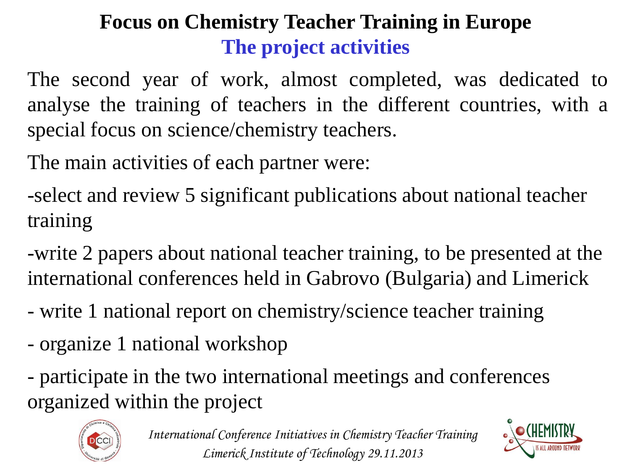### **Focus on Chemistry Teacher Training in Europe The project activities**

The second year of work, almost completed, was dedicated to analyse the training of teachers in the different countries, with a special focus on science/chemistry teachers.

The main activities of each partner were:

-select and review 5 significant publications about national teacher training

-write 2 papers about national teacher training, to be presented at the international conferences held in Gabrovo (Bulgaria) and Limerick

- write 1 national report on chemistry/science teacher training
- organize 1 national workshop
- participate in the two international meetings and conferences organized within the project



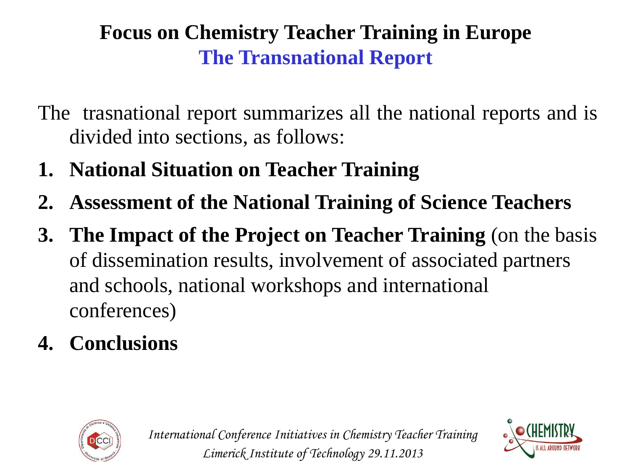#### **Focus on Chemistry Teacher Training in Europe The Transnational Report**

- The trasnational report summarizes all the national reports and is divided into sections, as follows:
- **1. National Situation on Teacher Training**
- **2. Assessment of the National Training of Science Teachers**
- **3. The Impact of the Project on Teacher Training** (on the basis of dissemination results, involvement of associated partners and schools, national workshops and international conferences)
- **4. Conclusions**



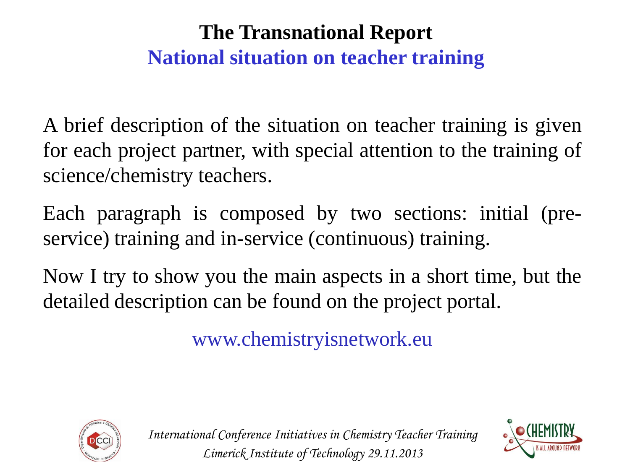#### **The Transnational Report National situation on teacher training**

A brief description of the situation on teacher training is given for each project partner, with special attention to the training of science/chemistry teachers.

Each paragraph is composed by two sections: initial (preservice) training and in-service (continuous) training.

Now I try to show you the main aspects in a short time, but the detailed description can be found on the project portal.

www.chemistryisnetwork.eu



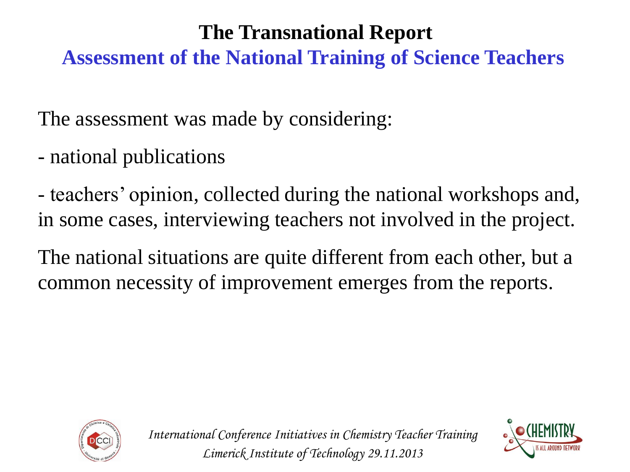#### **The Transnational Report**

**Assessment of the National Training of Science Teachers**

The assessment was made by considering:

- national publications

- teachers' opinion, collected during the national workshops and, in some cases, interviewing teachers not involved in the project.

The national situations are quite different from each other, but a common necessity of improvement emerges from the reports.



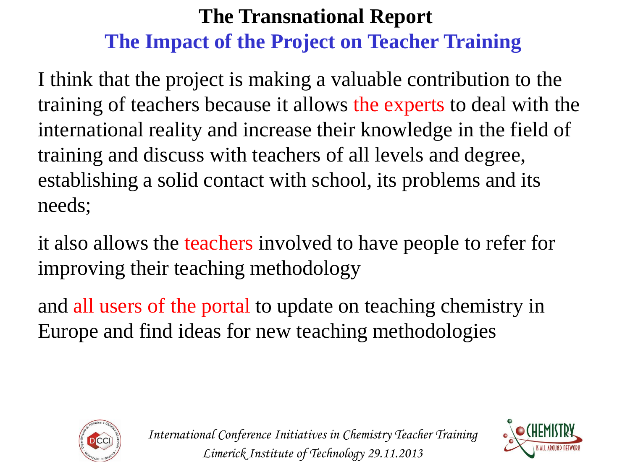I think that the project is making a valuable contribution to the training of teachers because it allows the experts to deal with the international reality and increase their knowledge in the field of training and discuss with teachers of all levels and degree, establishing a solid contact with school, its problems and its needs;

it also allows the teachers involved to have people to refer for improving their teaching methodology

and all users of the portal to update on teaching chemistry in Europe and find ideas for new teaching methodologies



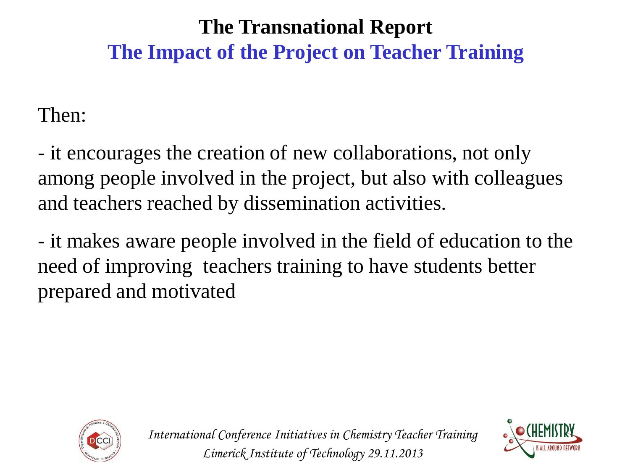Then:

- it encourages the creation of new collaborations, not only among people involved in the project, but also with colleagues and teachers reached by dissemination activities.

- it makes aware people involved in the field of education to the need of improving teachers training to have students better prepared and motivated



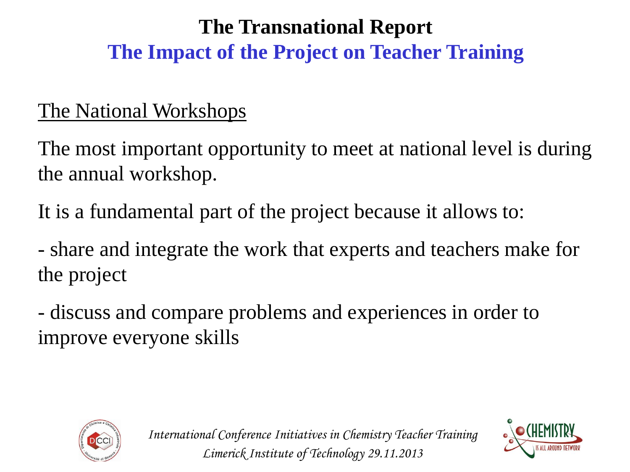#### The National Workshops

The most important opportunity to meet at national level is during the annual workshop.

It is a fundamental part of the project because it allows to:

- share and integrate the work that experts and teachers make for the project

- discuss and compare problems and experiences in order to improve everyone skills



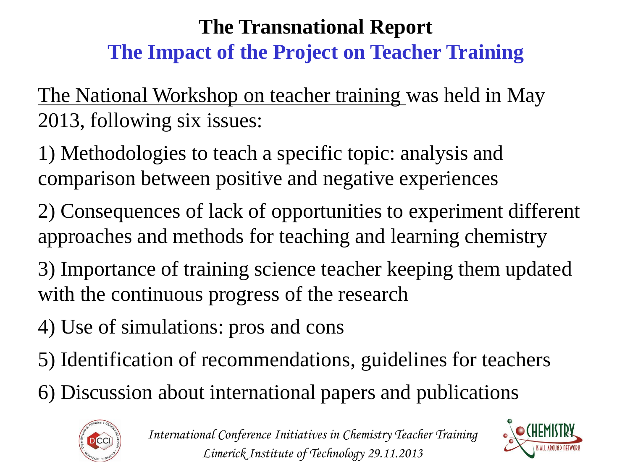The National Workshop on teacher training was held in May 2013, following six issues:

1) Methodologies to teach a specific topic: analysis and comparison between positive and negative experiences

2) Consequences of lack of opportunities to experiment different approaches and methods for teaching and learning chemistry

3) Importance of training science teacher keeping them updated with the continuous progress of the research

4) Use of simulations: pros and cons

- 5) Identification of recommendations, guidelines for teachers
- 6) Discussion about international papers and publications



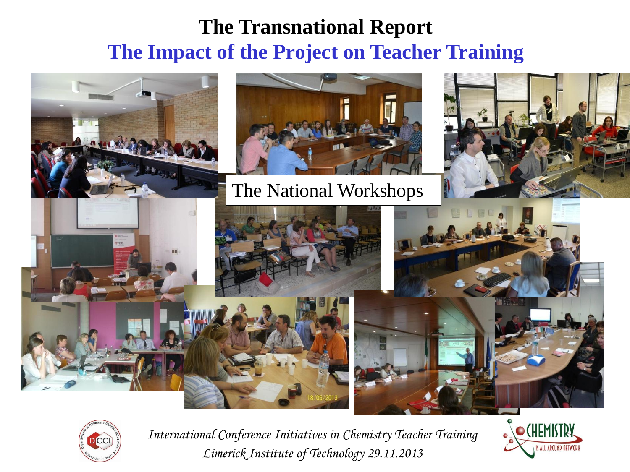



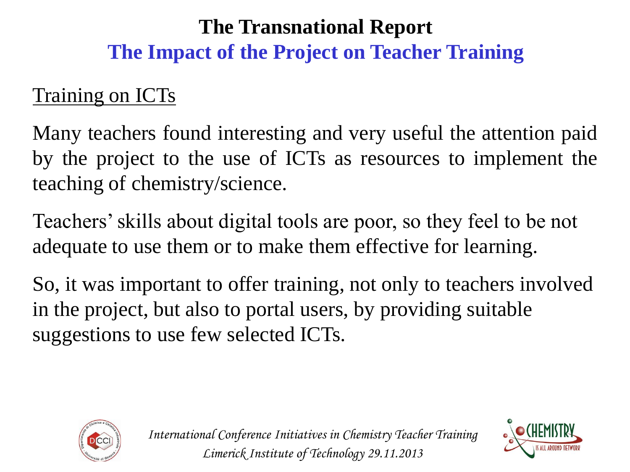#### Training on ICTs

Many teachers found interesting and very useful the attention paid by the project to the use of ICTs as resources to implement the teaching of chemistry/science.

Teachers' skills about digital tools are poor, so they feel to be not adequate to use them or to make them effective for learning.

So, it was important to offer training, not only to teachers involved in the project, but also to portal users, by providing suitable suggestions to use few selected ICTs.



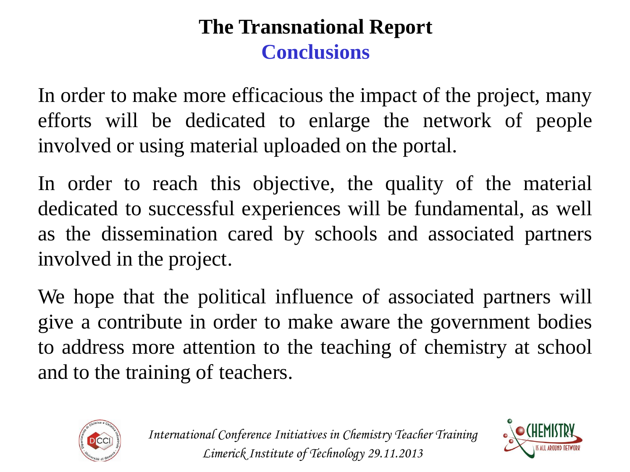#### **The Transnational Report Conclusions**

In order to make more efficacious the impact of the project, many efforts will be dedicated to enlarge the network of people involved or using material uploaded on the portal.

In order to reach this objective, the quality of the material dedicated to successful experiences will be fundamental, as well as the dissemination cared by schools and associated partners involved in the project.

We hope that the political influence of associated partners will give a contribute in order to make aware the government bodies to address more attention to the teaching of chemistry at school and to the training of teachers.